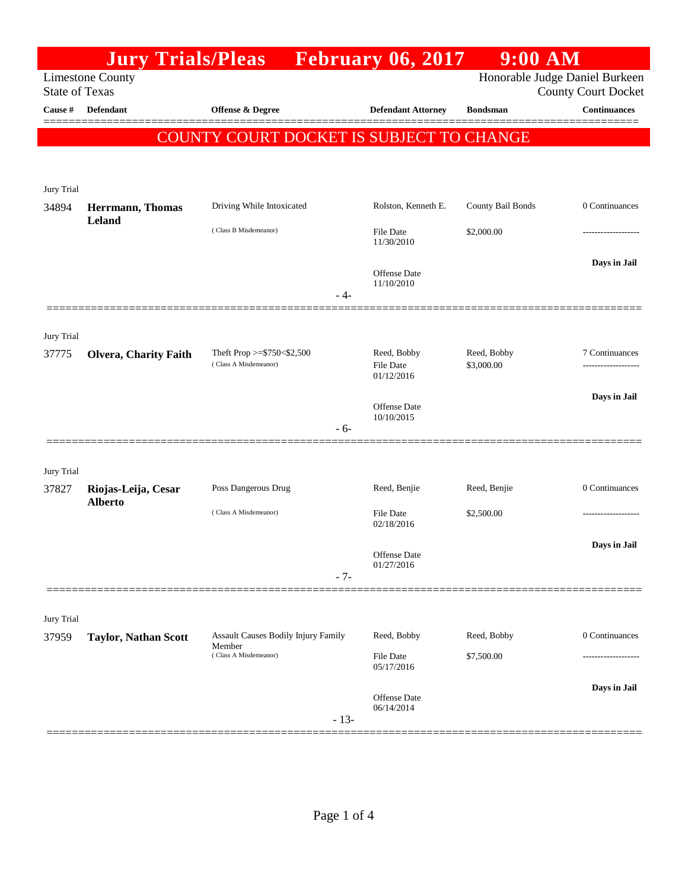|                       | <b>Jury Trials/Pleas</b>    |                                            | <b>February 06, 2017</b>       | $9:00$ AM         |                                                              |
|-----------------------|-----------------------------|--------------------------------------------|--------------------------------|-------------------|--------------------------------------------------------------|
| <b>State of Texas</b> | <b>Limestone County</b>     |                                            |                                |                   | Honorable Judge Daniel Burkeen<br><b>County Court Docket</b> |
| Cause #               | <b>Defendant</b>            | <b>Offense &amp; Degree</b>                | <b>Defendant Attorney</b>      | <b>Bondsman</b>   | <b>Continuances</b>                                          |
|                       |                             |                                            |                                |                   |                                                              |
|                       |                             | COUNTY COURT DOCKET IS SUBJECT TO CHANGE   |                                |                   |                                                              |
|                       |                             |                                            |                                |                   |                                                              |
| Jury Trial            |                             |                                            |                                |                   |                                                              |
| 34894                 | <b>Herrmann</b> , Thomas    | Driving While Intoxicated                  | Rolston, Kenneth E.            | County Bail Bonds | 0 Continuances                                               |
|                       | Leland                      | (Class B Misdemeanor)                      | <b>File Date</b><br>11/30/2010 | \$2,000.00        |                                                              |
|                       |                             |                                            | <b>Offense Date</b>            |                   | Days in Jail                                                 |
|                       |                             |                                            | 11/10/2010                     |                   |                                                              |
|                       |                             | - 4-                                       |                                |                   |                                                              |
| Jury Trial            |                             |                                            |                                |                   |                                                              |
| 37775                 | Olvera, Charity Faith       | Theft Prop >= $$750<$2,500$                | Reed, Bobby                    | Reed, Bobby       | 7 Continuances                                               |
|                       |                             | (Class A Misdemeanor)                      | <b>File Date</b><br>01/12/2016 | \$3,000.00        |                                                              |
|                       |                             |                                            |                                |                   | Days in Jail                                                 |
|                       |                             |                                            | Offense Date<br>10/10/2015     |                   |                                                              |
|                       |                             | $-6-$                                      |                                |                   |                                                              |
|                       |                             |                                            |                                |                   |                                                              |
| Jury Trial<br>37827   | Riojas-Leija, Cesar         | Poss Dangerous Drug                        | Reed, Benjie                   | Reed, Benjie      | 0 Continuances                                               |
|                       | <b>Alberto</b>              |                                            |                                |                   |                                                              |
|                       |                             | (Class A Misdemeanor)                      | <b>File Date</b><br>02/18/2016 | \$2,500.00        |                                                              |
|                       |                             |                                            |                                |                   | Days in Jail                                                 |
|                       |                             |                                            | Offense Date<br>01/27/2016     |                   |                                                              |
|                       |                             | $-7-$                                      |                                |                   |                                                              |
| Jury Trial            |                             |                                            |                                |                   |                                                              |
| 37959                 | <b>Taylor, Nathan Scott</b> | <b>Assault Causes Bodily Injury Family</b> | Reed, Bobby                    | Reed, Bobby       | 0 Continuances                                               |
|                       |                             | Member<br>(Class A Misdemeanor)            | File Date                      | \$7,500.00        |                                                              |
|                       |                             |                                            | 05/17/2016                     |                   |                                                              |
|                       |                             |                                            | Offense Date                   |                   | Days in Jail                                                 |
|                       |                             | $-13-$                                     | 06/14/2014                     |                   |                                                              |
|                       |                             |                                            |                                |                   |                                                              |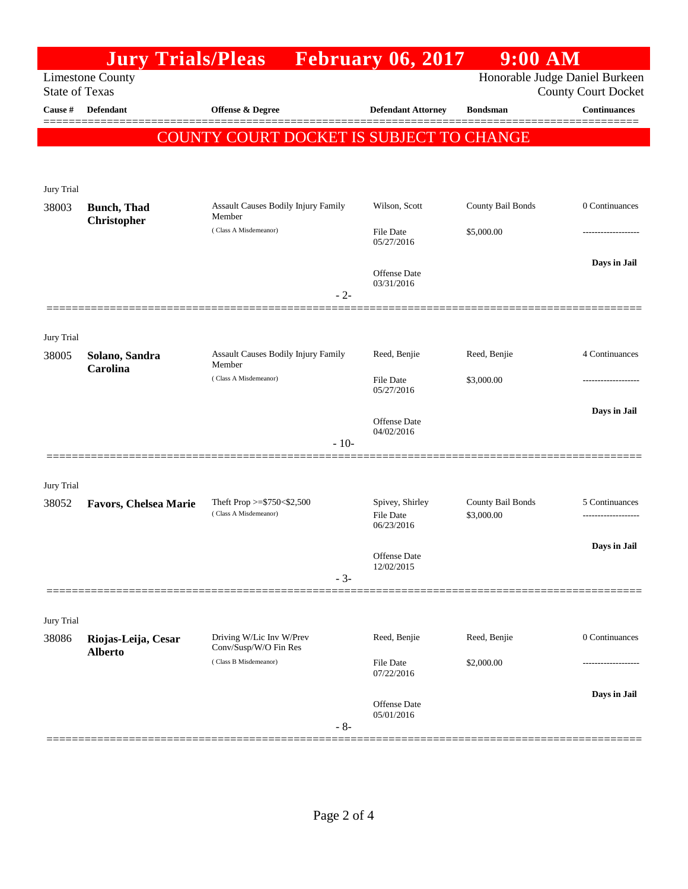|                       | <b>Jury Trials/Pleas</b>     |                                                      | <b>February 06, 2017</b>            | <b>9:00 AM</b>                  |                                                              |
|-----------------------|------------------------------|------------------------------------------------------|-------------------------------------|---------------------------------|--------------------------------------------------------------|
| <b>State of Texas</b> | <b>Limestone County</b>      |                                                      |                                     |                                 | Honorable Judge Daniel Burkeen<br><b>County Court Docket</b> |
| Cause #               | <b>Defendant</b>             | <b>Offense &amp; Degree</b>                          | <b>Defendant Attorney</b>           | <b>Bondsman</b>                 | <b>Continuances</b>                                          |
|                       |                              | COUNTY COURT DOCKET IS SUBJECT TO CHANGE             |                                     |                                 |                                                              |
|                       |                              |                                                      |                                     |                                 |                                                              |
|                       |                              |                                                      |                                     |                                 |                                                              |
| Jury Trial<br>38003   | <b>Bunch</b> , Thad          | Assault Causes Bodily Injury Family                  | Wilson, Scott                       | County Bail Bonds               | 0 Continuances                                               |
|                       | Christopher                  | Member<br>(Class A Misdemeanor)                      | <b>File Date</b>                    | \$5,000.00                      |                                                              |
|                       |                              |                                                      | 05/27/2016                          |                                 |                                                              |
|                       |                              |                                                      | <b>Offense</b> Date<br>03/31/2016   |                                 | Days in Jail                                                 |
|                       |                              | $-2-$                                                |                                     |                                 |                                                              |
|                       |                              |                                                      |                                     |                                 |                                                              |
| Jury Trial<br>38005   | Solano, Sandra               | Assault Causes Bodily Injury Family                  | Reed, Benjie                        | Reed, Benjie                    | 4 Continuances                                               |
|                       | Carolina                     | Member<br>(Class A Misdemeanor)                      |                                     |                                 |                                                              |
|                       |                              |                                                      | <b>File Date</b><br>05/27/2016      | \$3,000.00                      |                                                              |
|                       |                              |                                                      | <b>Offense</b> Date                 |                                 | Days in Jail                                                 |
|                       |                              | $-10-$                                               | 04/02/2016                          |                                 |                                                              |
|                       |                              |                                                      |                                     |                                 |                                                              |
| Jury Trial            |                              |                                                      |                                     |                                 |                                                              |
| 38052                 | <b>Favors, Chelsea Marie</b> | Theft Prop >= $$750<$2,500$<br>(Class A Misdemeanor) | Spivey, Shirley<br><b>File Date</b> | County Bail Bonds<br>\$3,000.00 | 5 Continuances                                               |
|                       |                              |                                                      | 06/23/2016                          |                                 |                                                              |
|                       |                              |                                                      | Offense Date<br>12/02/2015          |                                 | Days in Jail                                                 |
|                       |                              | $-3-$                                                |                                     |                                 |                                                              |
|                       |                              |                                                      |                                     |                                 |                                                              |
| Jury Trial<br>38086   | Riojas-Leija, Cesar          | Driving W/Lic Inv W/Prev                             | Reed, Benjie                        | Reed, Benjie                    | 0 Continuances                                               |
|                       | <b>Alberto</b>               | Conv/Susp/W/O Fin Res<br>(Class B Misdemeanor)       | <b>File Date</b>                    | \$2,000.00                      |                                                              |
|                       |                              |                                                      | 07/22/2016                          |                                 |                                                              |
|                       |                              |                                                      | <b>Offense</b> Date                 |                                 | Days in Jail                                                 |
|                       |                              | $-8-$                                                | 05/01/2016                          |                                 |                                                              |
|                       |                              |                                                      |                                     |                                 |                                                              |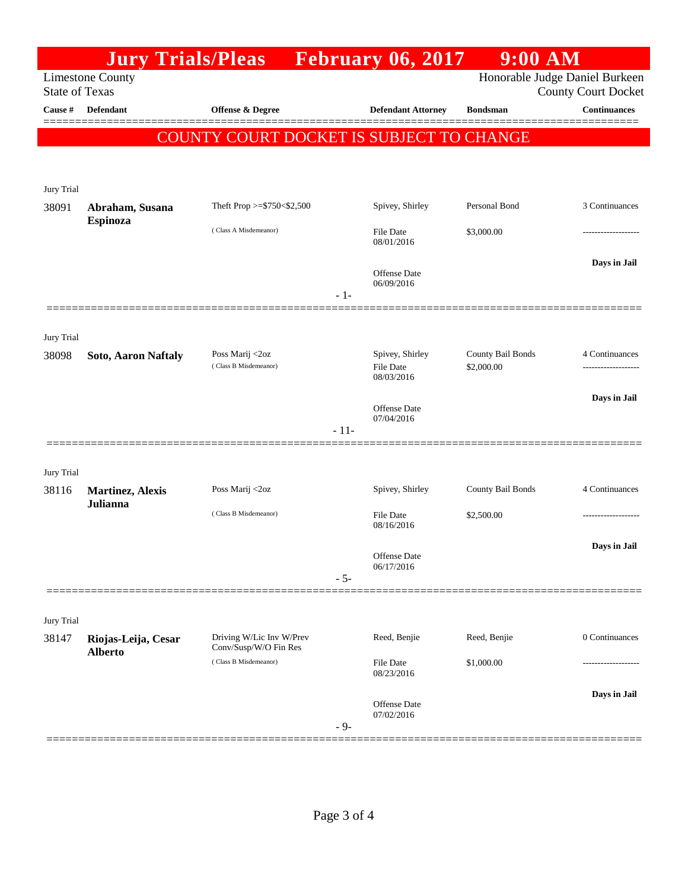|                                  | <b>Jury Trials/Pleas</b>   |                                                   |        | <b>Expedience February 06, 2017</b> | $9:00$ AM         |                                                   |
|----------------------------------|----------------------------|---------------------------------------------------|--------|-------------------------------------|-------------------|---------------------------------------------------|
|                                  | <b>Limestone County</b>    |                                                   |        |                                     |                   | Honorable Judge Daniel Burkeen                    |
| <b>State of Texas</b><br>Cause # | Defendant                  | Offense & Degree                                  |        | <b>Defendant Attorney</b>           | <b>Bondsman</b>   | <b>County Court Docket</b><br><b>Continuances</b> |
|                                  |                            |                                                   |        |                                     |                   |                                                   |
|                                  |                            | <b>COUNTY COURT DOCKET IS SUBJECT TO CHANGE</b>   |        |                                     |                   |                                                   |
|                                  |                            |                                                   |        |                                     |                   |                                                   |
| Jury Trial                       |                            |                                                   |        |                                     |                   |                                                   |
| 38091                            | Abraham, Susana            | Theft Prop $>=$ \$750 < \$2,500                   |        | Spivey, Shirley                     | Personal Bond     | 3 Continuances                                    |
|                                  | Espinoza                   | (Class A Misdemeanor)                             |        | <b>File Date</b>                    | \$3,000.00        |                                                   |
|                                  |                            |                                                   |        | 08/01/2016                          |                   |                                                   |
|                                  |                            |                                                   |        | Offense Date                        |                   | Days in Jail                                      |
|                                  |                            |                                                   | $-1-$  | 06/09/2016                          |                   |                                                   |
|                                  |                            |                                                   |        |                                     |                   |                                                   |
|                                  |                            |                                                   |        |                                     |                   |                                                   |
| Jury Trial<br>38098              | <b>Soto, Aaron Naftaly</b> | Poss Marij <2oz                                   |        | Spivey, Shirley                     | County Bail Bonds | 4 Continuances                                    |
|                                  |                            | (Class B Misdemeanor)                             |        | <b>File Date</b><br>08/03/2016      | \$2,000.00        |                                                   |
|                                  |                            |                                                   |        |                                     |                   | Days in Jail                                      |
|                                  |                            |                                                   |        | <b>Offense</b> Date<br>07/04/2016   |                   |                                                   |
|                                  |                            |                                                   | $-11-$ |                                     |                   |                                                   |
|                                  |                            |                                                   |        |                                     |                   |                                                   |
| Jury Trial                       |                            |                                                   |        |                                     |                   |                                                   |
| 38116                            | <b>Martinez, Alexis</b>    | Poss Marij <2oz                                   |        | Spivey, Shirley                     | County Bail Bonds | 4 Continuances                                    |
|                                  | Julianna                   | (Class B Misdemeanor)                             |        | <b>File Date</b>                    | \$2,500.00        |                                                   |
|                                  |                            |                                                   |        | 08/16/2016                          |                   |                                                   |
|                                  |                            |                                                   |        | Offense Date                        |                   | Days in Jail                                      |
|                                  |                            |                                                   | $-5-$  | 06/17/2016                          |                   |                                                   |
|                                  |                            |                                                   |        |                                     |                   |                                                   |
| Jury Trial                       |                            |                                                   |        |                                     |                   |                                                   |
| 38147                            | Riojas-Leija, Cesar        | Driving W/Lic Inv W/Prev<br>Conv/Susp/W/O Fin Res |        | Reed, Benjie                        | Reed, Benjie      | 0 Continuances                                    |
|                                  | <b>Alberto</b>             | (Class B Misdemeanor)                             |        | File Date                           | \$1,000.00        |                                                   |
|                                  |                            |                                                   |        | 08/23/2016                          |                   |                                                   |
|                                  |                            |                                                   |        | <b>Offense</b> Date                 |                   | Days in Jail                                      |
|                                  |                            |                                                   | $-9-$  | 07/02/2016                          |                   |                                                   |
|                                  |                            |                                                   |        |                                     |                   |                                                   |